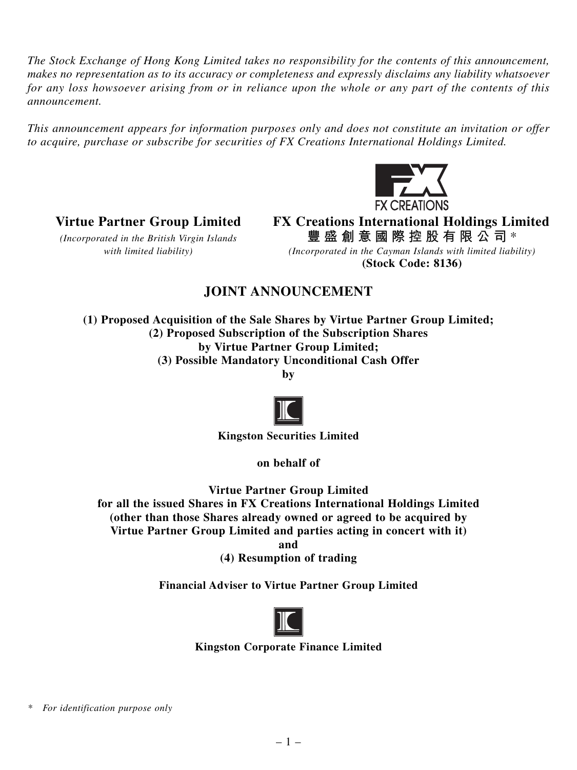*The Stock Exchange of Hong Kong Limited takes no responsibility for the contents of this announcement, makes no representation as to its accuracy or completeness and expressly disclaims any liability whatsoever for any loss howsoever arising from or in reliance upon the whole or any part of the contents of this announcement.*

*This announcement appears for information purposes only and does not constitute an invitation or offer to acquire, purchase or subscribe for securities of FX Creations International Holdings Limited.*



**Virtue Partner Group Limited FX Creations International Holdings Limited** *(Incorporated in the British Virgin Islands* **豐盛創意國際控股有限公司** \*

*with limited liability) (Incorporated in the Cayman Islands with limited liability)* **(Stock Code: 8136)**

# **JOINT ANNOUNCEMENT**

**(1) Proposed Acquisition of the Sale Shares by Virtue Partner Group Limited; (2) Proposed Subscription of the Subscription Shares by Virtue Partner Group Limited; (3) Possible Mandatory Unconditional Cash Offer**

**by**



**Kingston Securities Limited**

**on behalf of**

**Virtue Partner Group Limited**

**for all the issued Shares in FX Creations International Holdings Limited (other than those Shares already owned or agreed to be acquired by Virtue Partner Group Limited and parties acting in concert with it)**

**and**

**(4) Resumption of trading**

**Financial Adviser to Virtue Partner Group Limited**



**Kingston Corporate Finance Limited**

*\* For identification purpose only*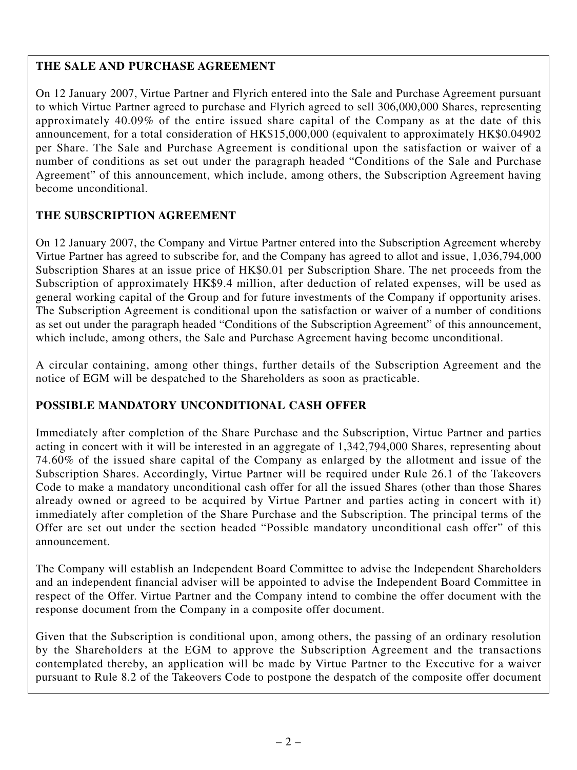# **THE SALE AND PURCHASE AGREEMENT**

On 12 January 2007, Virtue Partner and Flyrich entered into the Sale and Purchase Agreement pursuant to which Virtue Partner agreed to purchase and Flyrich agreed to sell 306,000,000 Shares, representing approximately 40.09% of the entire issued share capital of the Company as at the date of this announcement, for a total consideration of HK\$15,000,000 (equivalent to approximately HK\$0.04902 per Share. The Sale and Purchase Agreement is conditional upon the satisfaction or waiver of a number of conditions as set out under the paragraph headed "Conditions of the Sale and Purchase Agreement" of this announcement, which include, among others, the Subscription Agreement having become unconditional.

## **THE SUBSCRIPTION AGREEMENT**

On 12 January 2007, the Company and Virtue Partner entered into the Subscription Agreement whereby Virtue Partner has agreed to subscribe for, and the Company has agreed to allot and issue, 1,036,794,000 Subscription Shares at an issue price of HK\$0.01 per Subscription Share. The net proceeds from the Subscription of approximately HK\$9.4 million, after deduction of related expenses, will be used as general working capital of the Group and for future investments of the Company if opportunity arises. The Subscription Agreement is conditional upon the satisfaction or waiver of a number of conditions as set out under the paragraph headed "Conditions of the Subscription Agreement" of this announcement, which include, among others, the Sale and Purchase Agreement having become unconditional.

A circular containing, among other things, further details of the Subscription Agreement and the notice of EGM will be despatched to the Shareholders as soon as practicable.

## **POSSIBLE MANDATORY UNCONDITIONAL CASH OFFER**

Immediately after completion of the Share Purchase and the Subscription, Virtue Partner and parties acting in concert with it will be interested in an aggregate of 1,342,794,000 Shares, representing about 74.60% of the issued share capital of the Company as enlarged by the allotment and issue of the Subscription Shares. Accordingly, Virtue Partner will be required under Rule 26.1 of the Takeovers Code to make a mandatory unconditional cash offer for all the issued Shares (other than those Shares already owned or agreed to be acquired by Virtue Partner and parties acting in concert with it) immediately after completion of the Share Purchase and the Subscription. The principal terms of the Offer are set out under the section headed "Possible mandatory unconditional cash offer" of this announcement.

The Company will establish an Independent Board Committee to advise the Independent Shareholders and an independent financial adviser will be appointed to advise the Independent Board Committee in respect of the Offer. Virtue Partner and the Company intend to combine the offer document with the response document from the Company in a composite offer document.

Given that the Subscription is conditional upon, among others, the passing of an ordinary resolution by the Shareholders at the EGM to approve the Subscription Agreement and the transactions contemplated thereby, an application will be made by Virtue Partner to the Executive for a waiver pursuant to Rule 8.2 of the Takeovers Code to postpone the despatch of the composite offer document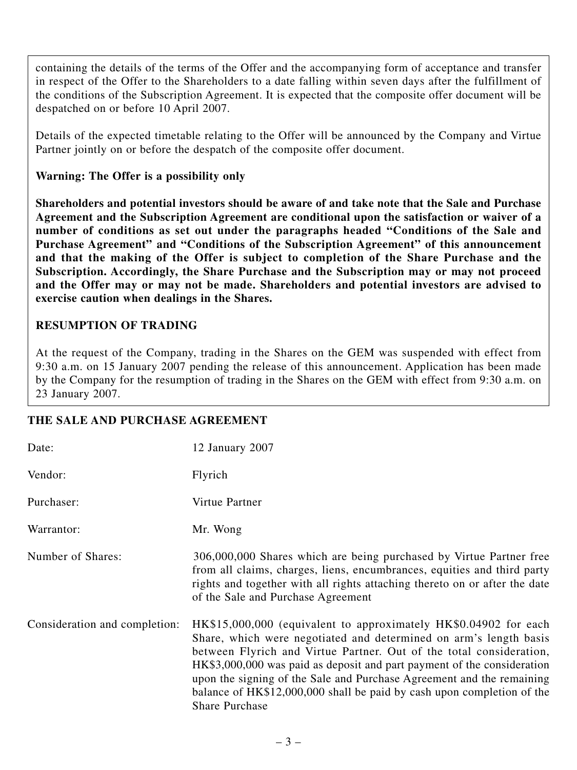containing the details of the terms of the Offer and the accompanying form of acceptance and transfer in respect of the Offer to the Shareholders to a date falling within seven days after the fulfillment of the conditions of the Subscription Agreement. It is expected that the composite offer document will be despatched on or before 10 April 2007.

Details of the expected timetable relating to the Offer will be announced by the Company and Virtue Partner jointly on or before the despatch of the composite offer document.

### **Warning: The Offer is a possibility only**

**Shareholders and potential investors should be aware of and take note that the Sale and Purchase Agreement and the Subscription Agreement are conditional upon the satisfaction or waiver of a number of conditions as set out under the paragraphs headed "Conditions of the Sale and Purchase Agreement" and "Conditions of the Subscription Agreement" of this announcement and that the making of the Offer is subject to completion of the Share Purchase and the Subscription. Accordingly, the Share Purchase and the Subscription may or may not proceed and the Offer may or may not be made. Shareholders and potential investors are advised to exercise caution when dealings in the Shares.**

## **RESUMPTION OF TRADING**

At the request of the Company, trading in the Shares on the GEM was suspended with effect from 9:30 a.m. on 15 January 2007 pending the release of this announcement. Application has been made by the Company for the resumption of trading in the Shares on the GEM with effect from 9:30 a.m. on 23 January 2007.

### **THE SALE AND PURCHASE AGREEMENT**

| Date:                         | 12 January 2007                                                                                                                                                                                                                                                                                                                                                                                                                                                     |
|-------------------------------|---------------------------------------------------------------------------------------------------------------------------------------------------------------------------------------------------------------------------------------------------------------------------------------------------------------------------------------------------------------------------------------------------------------------------------------------------------------------|
| Vendor:                       | Flyrich                                                                                                                                                                                                                                                                                                                                                                                                                                                             |
| Purchaser:                    | Virtue Partner                                                                                                                                                                                                                                                                                                                                                                                                                                                      |
| Warrantor:                    | Mr. Wong                                                                                                                                                                                                                                                                                                                                                                                                                                                            |
| Number of Shares:             | 306,000,000 Shares which are being purchased by Virtue Partner free<br>from all claims, charges, liens, encumbrances, equities and third party<br>rights and together with all rights attaching thereto on or after the date<br>of the Sale and Purchase Agreement                                                                                                                                                                                                  |
| Consideration and completion: | HK\$15,000,000 (equivalent to approximately HK\$0.04902 for each<br>Share, which were negotiated and determined on arm's length basis<br>between Flyrich and Virtue Partner. Out of the total consideration,<br>HK\$3,000,000 was paid as deposit and part payment of the consideration<br>upon the signing of the Sale and Purchase Agreement and the remaining<br>balance of HK\$12,000,000 shall be paid by cash upon completion of the<br><b>Share Purchase</b> |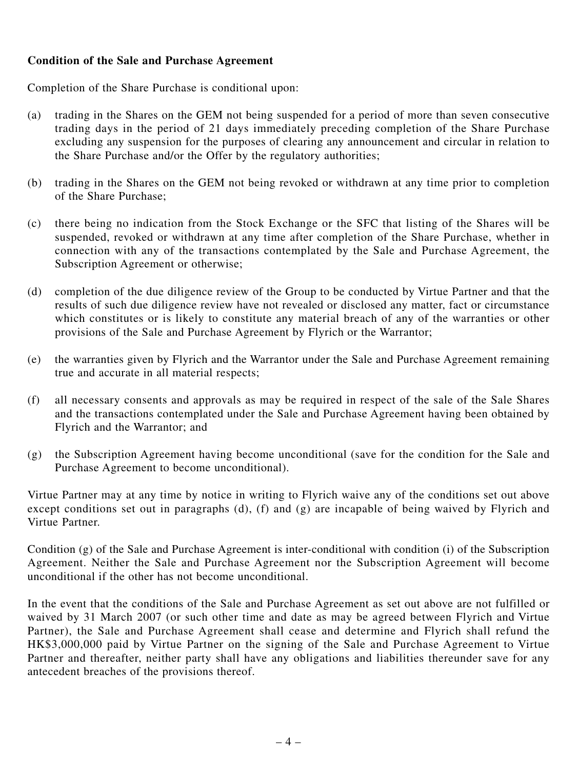### **Condition of the Sale and Purchase Agreement**

Completion of the Share Purchase is conditional upon:

- (a) trading in the Shares on the GEM not being suspended for a period of more than seven consecutive trading days in the period of 21 days immediately preceding completion of the Share Purchase excluding any suspension for the purposes of clearing any announcement and circular in relation to the Share Purchase and/or the Offer by the regulatory authorities;
- (b) trading in the Shares on the GEM not being revoked or withdrawn at any time prior to completion of the Share Purchase;
- (c) there being no indication from the Stock Exchange or the SFC that listing of the Shares will be suspended, revoked or withdrawn at any time after completion of the Share Purchase, whether in connection with any of the transactions contemplated by the Sale and Purchase Agreement, the Subscription Agreement or otherwise;
- (d) completion of the due diligence review of the Group to be conducted by Virtue Partner and that the results of such due diligence review have not revealed or disclosed any matter, fact or circumstance which constitutes or is likely to constitute any material breach of any of the warranties or other provisions of the Sale and Purchase Agreement by Flyrich or the Warrantor;
- (e) the warranties given by Flyrich and the Warrantor under the Sale and Purchase Agreement remaining true and accurate in all material respects;
- (f) all necessary consents and approvals as may be required in respect of the sale of the Sale Shares and the transactions contemplated under the Sale and Purchase Agreement having been obtained by Flyrich and the Warrantor; and
- (g) the Subscription Agreement having become unconditional (save for the condition for the Sale and Purchase Agreement to become unconditional).

Virtue Partner may at any time by notice in writing to Flyrich waive any of the conditions set out above except conditions set out in paragraphs (d), (f) and (g) are incapable of being waived by Flyrich and Virtue Partner.

Condition (g) of the Sale and Purchase Agreement is inter-conditional with condition (i) of the Subscription Agreement. Neither the Sale and Purchase Agreement nor the Subscription Agreement will become unconditional if the other has not become unconditional.

In the event that the conditions of the Sale and Purchase Agreement as set out above are not fulfilled or waived by 31 March 2007 (or such other time and date as may be agreed between Flyrich and Virtue Partner), the Sale and Purchase Agreement shall cease and determine and Flyrich shall refund the HK\$3,000,000 paid by Virtue Partner on the signing of the Sale and Purchase Agreement to Virtue Partner and thereafter, neither party shall have any obligations and liabilities thereunder save for any antecedent breaches of the provisions thereof.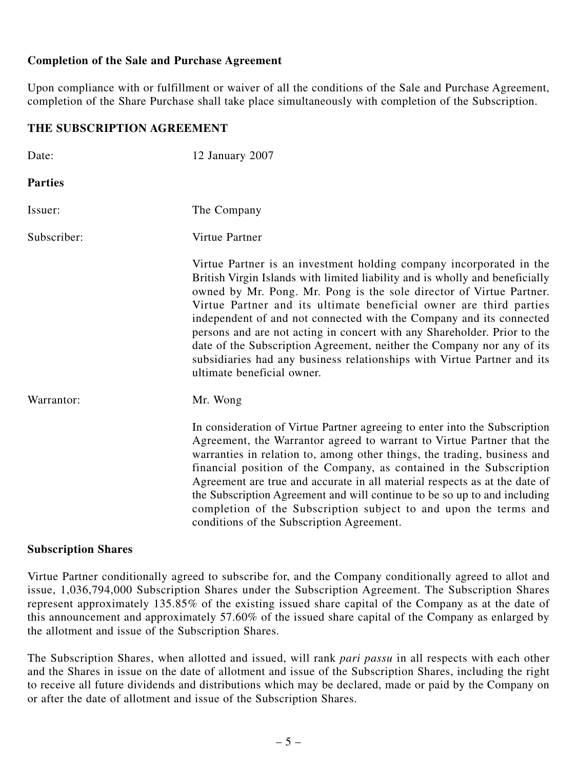#### **Completion of the Sale and Purchase Agreement**

Upon compliance with or fulfillment or waiver of all the conditions of the Sale and Purchase Agreement, completion of the Share Purchase shall take place simultaneously with completion of the Subscription.

#### **THE SUBSCRIPTION AGREEMENT**

| Date:          | 12 January 2007                                                                                                                                                                                                                                                                                                                                                                                                                                                                                                                                                                                                                        |
|----------------|----------------------------------------------------------------------------------------------------------------------------------------------------------------------------------------------------------------------------------------------------------------------------------------------------------------------------------------------------------------------------------------------------------------------------------------------------------------------------------------------------------------------------------------------------------------------------------------------------------------------------------------|
| <b>Parties</b> |                                                                                                                                                                                                                                                                                                                                                                                                                                                                                                                                                                                                                                        |
| Issuer:        | The Company                                                                                                                                                                                                                                                                                                                                                                                                                                                                                                                                                                                                                            |
| Subscriber:    | Virtue Partner                                                                                                                                                                                                                                                                                                                                                                                                                                                                                                                                                                                                                         |
|                | Virtue Partner is an investment holding company incorporated in the<br>British Virgin Islands with limited liability and is wholly and beneficially<br>owned by Mr. Pong. Mr. Pong is the sole director of Virtue Partner.<br>Virtue Partner and its ultimate beneficial owner are third parties<br>independent of and not connected with the Company and its connected<br>persons and are not acting in concert with any Shareholder. Prior to the<br>date of the Subscription Agreement, neither the Company nor any of its<br>subsidiaries had any business relationships with Virtue Partner and its<br>ultimate beneficial owner. |
| Warrantor:     | Mr. Wong                                                                                                                                                                                                                                                                                                                                                                                                                                                                                                                                                                                                                               |
|                | In consideration of Virtue Partner agreeing to enter into the Subscription<br>Agreement, the Warrantor agreed to warrant to Virtue Partner that the<br>warranties in relation to, among other things, the trading, business and<br>financial position of the Company, as contained in the Subscription<br>Agreement are true and accurate in all material respects as at the date of<br>the Subscription Agreement and will continue to be so up to and including<br>completion of the Subscription subject to and upon the terms and<br>conditions of the Subscription Agreement.                                                     |

#### **Subscription Shares**

Virtue Partner conditionally agreed to subscribe for, and the Company conditionally agreed to allot and issue, 1,036,794,000 Subscription Shares under the Subscription Agreement. The Subscription Shares represent approximately 135.85% of the existing issued share capital of the Company as at the date of this announcement and approximately 57.60% of the issued share capital of the Company as enlarged by the allotment and issue of the Subscription Shares.

The Subscription Shares, when allotted and issued, will rank *pari passu* in all respects with each other and the Shares in issue on the date of allotment and issue of the Subscription Shares, including the right to receive all future dividends and distributions which may be declared, made or paid by the Company on or after the date of allotment and issue of the Subscription Shares.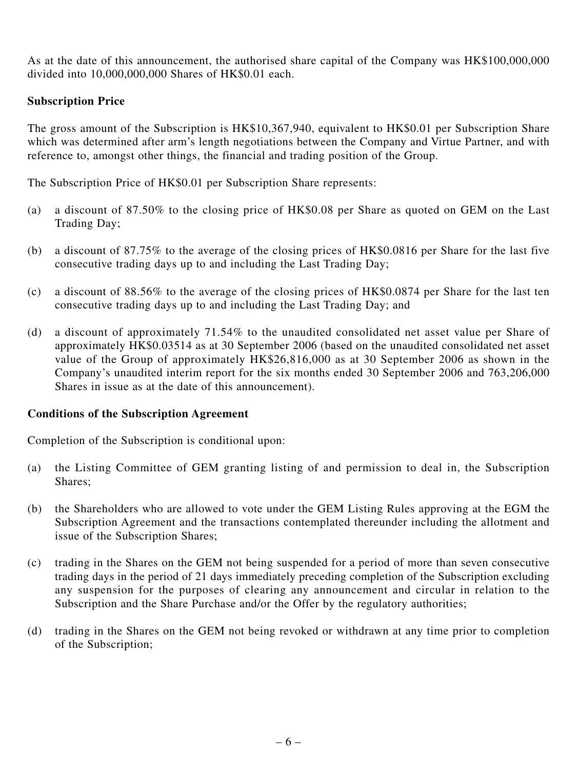As at the date of this announcement, the authorised share capital of the Company was HK\$100,000,000 divided into 10,000,000,000 Shares of HK\$0.01 each.

### **Subscription Price**

The gross amount of the Subscription is HK\$10,367,940, equivalent to HK\$0.01 per Subscription Share which was determined after arm's length negotiations between the Company and Virtue Partner, and with reference to, amongst other things, the financial and trading position of the Group.

The Subscription Price of HK\$0.01 per Subscription Share represents:

- (a) a discount of 87.50% to the closing price of HK\$0.08 per Share as quoted on GEM on the Last Trading Day;
- (b) a discount of 87.75% to the average of the closing prices of HK\$0.0816 per Share for the last five consecutive trading days up to and including the Last Trading Day;
- (c) a discount of 88.56% to the average of the closing prices of HK\$0.0874 per Share for the last ten consecutive trading days up to and including the Last Trading Day; and
- (d) a discount of approximately 71.54% to the unaudited consolidated net asset value per Share of approximately HK\$0.03514 as at 30 September 2006 (based on the unaudited consolidated net asset value of the Group of approximately HK\$26,816,000 as at 30 September 2006 as shown in the Company's unaudited interim report for the six months ended 30 September 2006 and 763,206,000 Shares in issue as at the date of this announcement).

#### **Conditions of the Subscription Agreement**

Completion of the Subscription is conditional upon:

- (a) the Listing Committee of GEM granting listing of and permission to deal in, the Subscription Shares;
- (b) the Shareholders who are allowed to vote under the GEM Listing Rules approving at the EGM the Subscription Agreement and the transactions contemplated thereunder including the allotment and issue of the Subscription Shares;
- (c) trading in the Shares on the GEM not being suspended for a period of more than seven consecutive trading days in the period of 21 days immediately preceding completion of the Subscription excluding any suspension for the purposes of clearing any announcement and circular in relation to the Subscription and the Share Purchase and/or the Offer by the regulatory authorities;
- (d) trading in the Shares on the GEM not being revoked or withdrawn at any time prior to completion of the Subscription;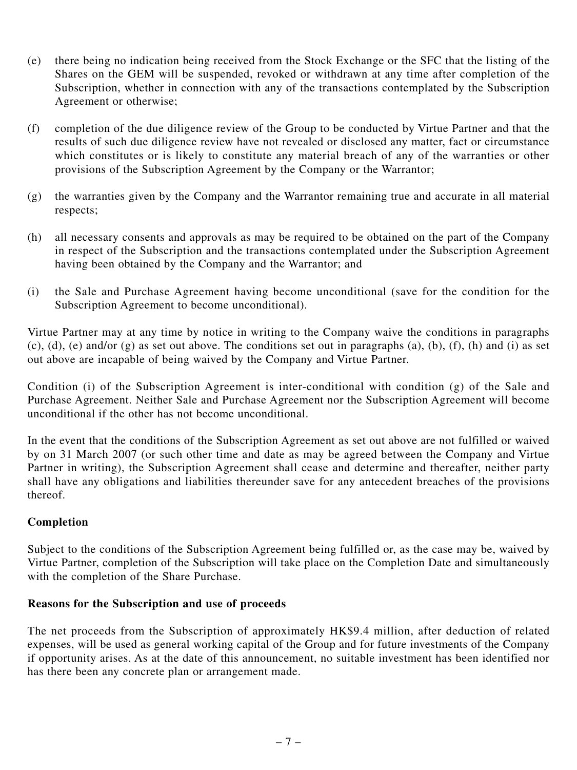- (e) there being no indication being received from the Stock Exchange or the SFC that the listing of the Shares on the GEM will be suspended, revoked or withdrawn at any time after completion of the Subscription, whether in connection with any of the transactions contemplated by the Subscription Agreement or otherwise;
- (f) completion of the due diligence review of the Group to be conducted by Virtue Partner and that the results of such due diligence review have not revealed or disclosed any matter, fact or circumstance which constitutes or is likely to constitute any material breach of any of the warranties or other provisions of the Subscription Agreement by the Company or the Warrantor;
- (g) the warranties given by the Company and the Warrantor remaining true and accurate in all material respects;
- (h) all necessary consents and approvals as may be required to be obtained on the part of the Company in respect of the Subscription and the transactions contemplated under the Subscription Agreement having been obtained by the Company and the Warrantor; and
- (i) the Sale and Purchase Agreement having become unconditional (save for the condition for the Subscription Agreement to become unconditional).

Virtue Partner may at any time by notice in writing to the Company waive the conditions in paragraphs (c), (d), (e) and/or (g) as set out above. The conditions set out in paragraphs (a), (b), (f), (h) and (i) as set out above are incapable of being waived by the Company and Virtue Partner.

Condition (i) of the Subscription Agreement is inter-conditional with condition (g) of the Sale and Purchase Agreement. Neither Sale and Purchase Agreement nor the Subscription Agreement will become unconditional if the other has not become unconditional.

In the event that the conditions of the Subscription Agreement as set out above are not fulfilled or waived by on 31 March 2007 (or such other time and date as may be agreed between the Company and Virtue Partner in writing), the Subscription Agreement shall cease and determine and thereafter, neither party shall have any obligations and liabilities thereunder save for any antecedent breaches of the provisions thereof.

### **Completion**

Subject to the conditions of the Subscription Agreement being fulfilled or, as the case may be, waived by Virtue Partner, completion of the Subscription will take place on the Completion Date and simultaneously with the completion of the Share Purchase.

### **Reasons for the Subscription and use of proceeds**

The net proceeds from the Subscription of approximately HK\$9.4 million, after deduction of related expenses, will be used as general working capital of the Group and for future investments of the Company if opportunity arises. As at the date of this announcement, no suitable investment has been identified nor has there been any concrete plan or arrangement made.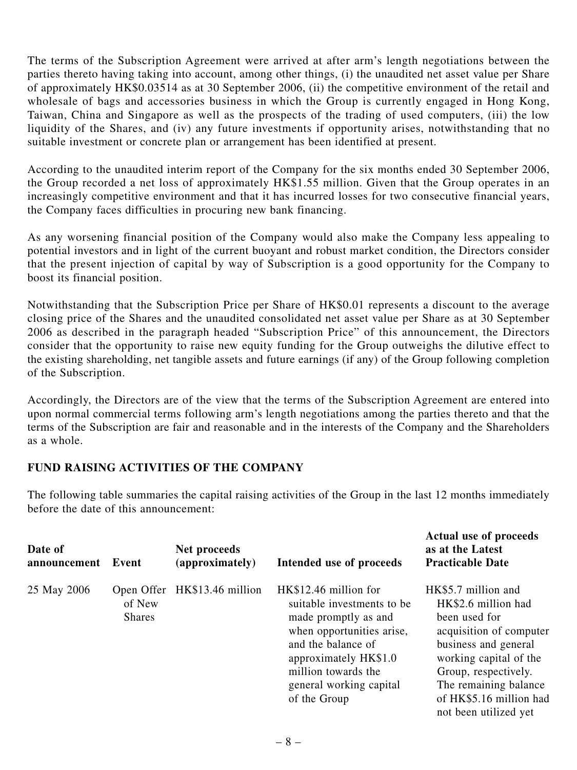The terms of the Subscription Agreement were arrived at after arm's length negotiations between the parties thereto having taking into account, among other things, (i) the unaudited net asset value per Share of approximately HK\$0.03514 as at 30 September 2006, (ii) the competitive environment of the retail and wholesale of bags and accessories business in which the Group is currently engaged in Hong Kong, Taiwan, China and Singapore as well as the prospects of the trading of used computers, (iii) the low liquidity of the Shares, and (iv) any future investments if opportunity arises, notwithstanding that no suitable investment or concrete plan or arrangement has been identified at present.

According to the unaudited interim report of the Company for the six months ended 30 September 2006, the Group recorded a net loss of approximately HK\$1.55 million. Given that the Group operates in an increasingly competitive environment and that it has incurred losses for two consecutive financial years, the Company faces difficulties in procuring new bank financing.

As any worsening financial position of the Company would also make the Company less appealing to potential investors and in light of the current buoyant and robust market condition, the Directors consider that the present injection of capital by way of Subscription is a good opportunity for the Company to boost its financial position.

Notwithstanding that the Subscription Price per Share of HK\$0.01 represents a discount to the average closing price of the Shares and the unaudited consolidated net asset value per Share as at 30 September 2006 as described in the paragraph headed "Subscription Price" of this announcement, the Directors consider that the opportunity to raise new equity funding for the Group outweighs the dilutive effect to the existing shareholding, net tangible assets and future earnings (if any) of the Group following completion of the Subscription.

Accordingly, the Directors are of the view that the terms of the Subscription Agreement are entered into upon normal commercial terms following arm's length negotiations among the parties thereto and that the terms of the Subscription are fair and reasonable and in the interests of the Company and the Shareholders as a whole.

## **FUND RAISING ACTIVITIES OF THE COMPANY**

The following table summaries the capital raising activities of the Group in the last 12 months immediately before the date of this announcement:

| Date of<br>announcement | Event                                 | Net proceeds<br>(approximately) | Intended use of proceeds                                                                                                                                                                                                   | <b>Actual use of proceeds</b><br>as at the Latest<br><b>Practicable Date</b>                                                                                                                                                                  |
|-------------------------|---------------------------------------|---------------------------------|----------------------------------------------------------------------------------------------------------------------------------------------------------------------------------------------------------------------------|-----------------------------------------------------------------------------------------------------------------------------------------------------------------------------------------------------------------------------------------------|
| 25 May 2006             | Open Offer<br>of New<br><b>Shares</b> | HK\$13.46 million               | HK\$12.46 million for<br>suitable investments to be.<br>made promptly as and<br>when opportunities arise,<br>and the balance of<br>approximately HK\$1.0<br>million towards the<br>general working capital<br>of the Group | HK\$5.7 million and<br>HK\$2.6 million had<br>been used for<br>acquisition of computer<br>business and general<br>working capital of the<br>Group, respectively.<br>The remaining balance<br>of HK\$5.16 million had<br>not been utilized yet |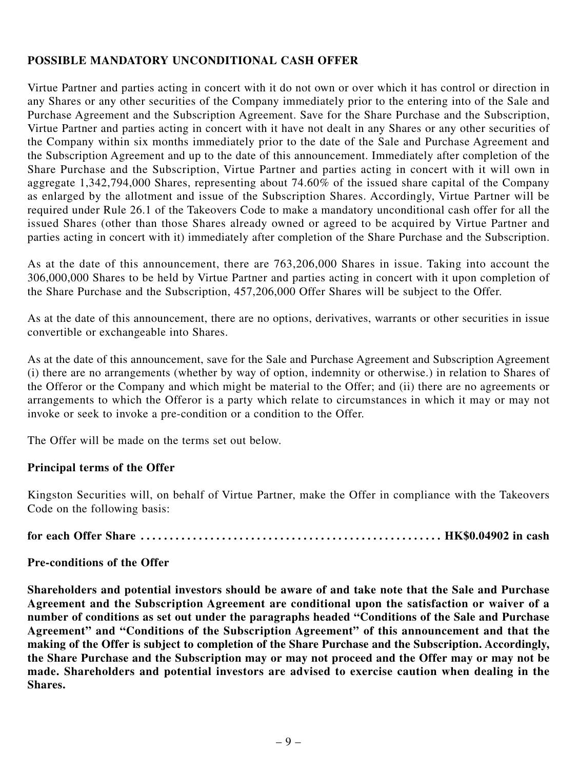### **POSSIBLE MANDATORY UNCONDITIONAL CASH OFFER**

Virtue Partner and parties acting in concert with it do not own or over which it has control or direction in any Shares or any other securities of the Company immediately prior to the entering into of the Sale and Purchase Agreement and the Subscription Agreement. Save for the Share Purchase and the Subscription, Virtue Partner and parties acting in concert with it have not dealt in any Shares or any other securities of the Company within six months immediately prior to the date of the Sale and Purchase Agreement and the Subscription Agreement and up to the date of this announcement. Immediately after completion of the Share Purchase and the Subscription, Virtue Partner and parties acting in concert with it will own in aggregate 1,342,794,000 Shares, representing about 74.60% of the issued share capital of the Company as enlarged by the allotment and issue of the Subscription Shares. Accordingly, Virtue Partner will be required under Rule 26.1 of the Takeovers Code to make a mandatory unconditional cash offer for all the issued Shares (other than those Shares already owned or agreed to be acquired by Virtue Partner and parties acting in concert with it) immediately after completion of the Share Purchase and the Subscription.

As at the date of this announcement, there are 763,206,000 Shares in issue. Taking into account the 306,000,000 Shares to be held by Virtue Partner and parties acting in concert with it upon completion of the Share Purchase and the Subscription, 457,206,000 Offer Shares will be subject to the Offer.

As at the date of this announcement, there are no options, derivatives, warrants or other securities in issue convertible or exchangeable into Shares.

As at the date of this announcement, save for the Sale and Purchase Agreement and Subscription Agreement (i) there are no arrangements (whether by way of option, indemnity or otherwise.) in relation to Shares of the Offeror or the Company and which might be material to the Offer; and (ii) there are no agreements or arrangements to which the Offeror is a party which relate to circumstances in which it may or may not invoke or seek to invoke a pre-condition or a condition to the Offer.

The Offer will be made on the terms set out below.

### **Principal terms of the Offer**

Kingston Securities will, on behalf of Virtue Partner, make the Offer in compliance with the Takeovers Code on the following basis:

**for each Offer Share . . . . . . . . . . . . . . . . . . . . . . . . . . . . . . . . . . . . . . . . . . . . . . . . . . . . HK\$0.04902 in cash**

#### **Pre-conditions of the Offer**

**Shareholders and potential investors should be aware of and take note that the Sale and Purchase Agreement and the Subscription Agreement are conditional upon the satisfaction or waiver of a number of conditions as set out under the paragraphs headed "Conditions of the Sale and Purchase Agreement" and "Conditions of the Subscription Agreement" of this announcement and that the making of the Offer is subject to completion of the Share Purchase and the Subscription. Accordingly, the Share Purchase and the Subscription may or may not proceed and the Offer may or may not be made. Shareholders and potential investors are advised to exercise caution when dealing in the Shares.**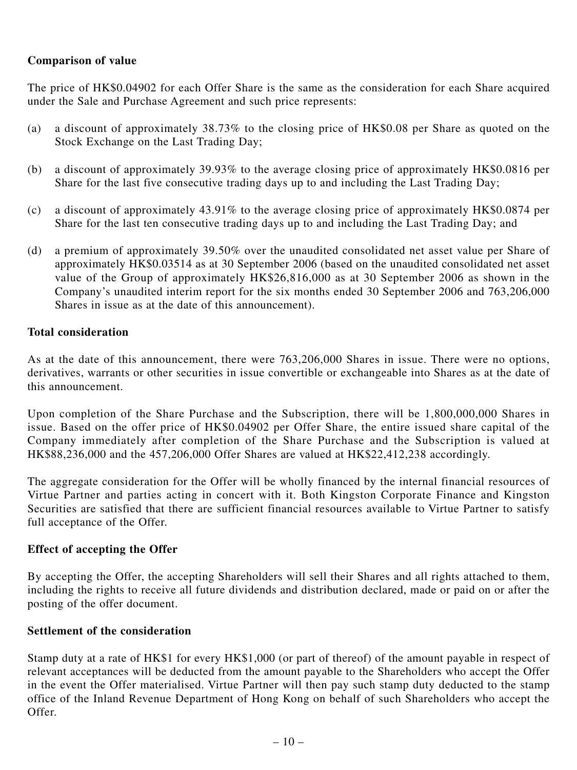### **Comparison of value**

The price of HK\$0.04902 for each Offer Share is the same as the consideration for each Share acquired under the Sale and Purchase Agreement and such price represents:

- (a) a discount of approximately 38.73% to the closing price of HK\$0.08 per Share as quoted on the Stock Exchange on the Last Trading Day;
- (b) a discount of approximately 39.93% to the average closing price of approximately HK\$0.0816 per Share for the last five consecutive trading days up to and including the Last Trading Day;
- (c) a discount of approximately 43.91% to the average closing price of approximately HK\$0.0874 per Share for the last ten consecutive trading days up to and including the Last Trading Day; and
- (d) a premium of approximately 39.50% over the unaudited consolidated net asset value per Share of approximately HK\$0.03514 as at 30 September 2006 (based on the unaudited consolidated net asset value of the Group of approximately HK\$26,816,000 as at 30 September 2006 as shown in the Company's unaudited interim report for the six months ended 30 September 2006 and 763,206,000 Shares in issue as at the date of this announcement).

### **Total consideration**

As at the date of this announcement, there were 763,206,000 Shares in issue. There were no options, derivatives, warrants or other securities in issue convertible or exchangeable into Shares as at the date of this announcement.

Upon completion of the Share Purchase and the Subscription, there will be 1,800,000,000 Shares in issue. Based on the offer price of HK\$0.04902 per Offer Share, the entire issued share capital of the Company immediately after completion of the Share Purchase and the Subscription is valued at HK\$88,236,000 and the 457,206,000 Offer Shares are valued at HK\$22,412,238 accordingly.

The aggregate consideration for the Offer will be wholly financed by the internal financial resources of Virtue Partner and parties acting in concert with it. Both Kingston Corporate Finance and Kingston Securities are satisfied that there are sufficient financial resources available to Virtue Partner to satisfy full acceptance of the Offer.

#### **Effect of accepting the Offer**

By accepting the Offer, the accepting Shareholders will sell their Shares and all rights attached to them, including the rights to receive all future dividends and distribution declared, made or paid on or after the posting of the offer document.

#### **Settlement of the consideration**

Stamp duty at a rate of HK\$1 for every HK\$1,000 (or part of thereof) of the amount payable in respect of relevant acceptances will be deducted from the amount payable to the Shareholders who accept the Offer in the event the Offer materialised. Virtue Partner will then pay such stamp duty deducted to the stamp office of the Inland Revenue Department of Hong Kong on behalf of such Shareholders who accept the Offer.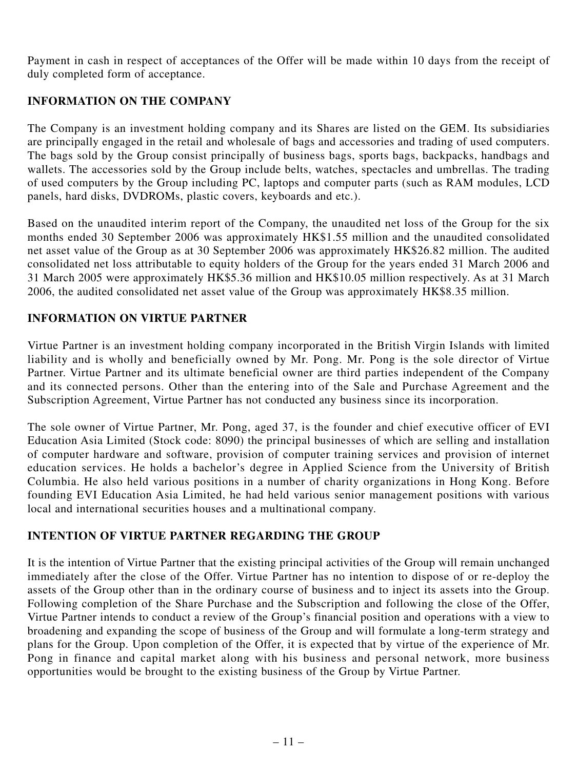Payment in cash in respect of acceptances of the Offer will be made within 10 days from the receipt of duly completed form of acceptance.

## **INFORMATION ON THE COMPANY**

The Company is an investment holding company and its Shares are listed on the GEM. Its subsidiaries are principally engaged in the retail and wholesale of bags and accessories and trading of used computers. The bags sold by the Group consist principally of business bags, sports bags, backpacks, handbags and wallets. The accessories sold by the Group include belts, watches, spectacles and umbrellas. The trading of used computers by the Group including PC, laptops and computer parts (such as RAM modules, LCD panels, hard disks, DVDROMs, plastic covers, keyboards and etc.).

Based on the unaudited interim report of the Company, the unaudited net loss of the Group for the six months ended 30 September 2006 was approximately HK\$1.55 million and the unaudited consolidated net asset value of the Group as at 30 September 2006 was approximately HK\$26.82 million. The audited consolidated net loss attributable to equity holders of the Group for the years ended 31 March 2006 and 31 March 2005 were approximately HK\$5.36 million and HK\$10.05 million respectively. As at 31 March 2006, the audited consolidated net asset value of the Group was approximately HK\$8.35 million.

## **INFORMATION ON VIRTUE PARTNER**

Virtue Partner is an investment holding company incorporated in the British Virgin Islands with limited liability and is wholly and beneficially owned by Mr. Pong. Mr. Pong is the sole director of Virtue Partner. Virtue Partner and its ultimate beneficial owner are third parties independent of the Company and its connected persons. Other than the entering into of the Sale and Purchase Agreement and the Subscription Agreement, Virtue Partner has not conducted any business since its incorporation.

The sole owner of Virtue Partner, Mr. Pong, aged 37, is the founder and chief executive officer of EVI Education Asia Limited (Stock code: 8090) the principal businesses of which are selling and installation of computer hardware and software, provision of computer training services and provision of internet education services. He holds a bachelor's degree in Applied Science from the University of British Columbia. He also held various positions in a number of charity organizations in Hong Kong. Before founding EVI Education Asia Limited, he had held various senior management positions with various local and international securities houses and a multinational company.

## **INTENTION OF VIRTUE PARTNER REGARDING THE GROUP**

It is the intention of Virtue Partner that the existing principal activities of the Group will remain unchanged immediately after the close of the Offer. Virtue Partner has no intention to dispose of or re-deploy the assets of the Group other than in the ordinary course of business and to inject its assets into the Group. Following completion of the Share Purchase and the Subscription and following the close of the Offer, Virtue Partner intends to conduct a review of the Group's financial position and operations with a view to broadening and expanding the scope of business of the Group and will formulate a long-term strategy and plans for the Group. Upon completion of the Offer, it is expected that by virtue of the experience of Mr. Pong in finance and capital market along with his business and personal network, more business opportunities would be brought to the existing business of the Group by Virtue Partner.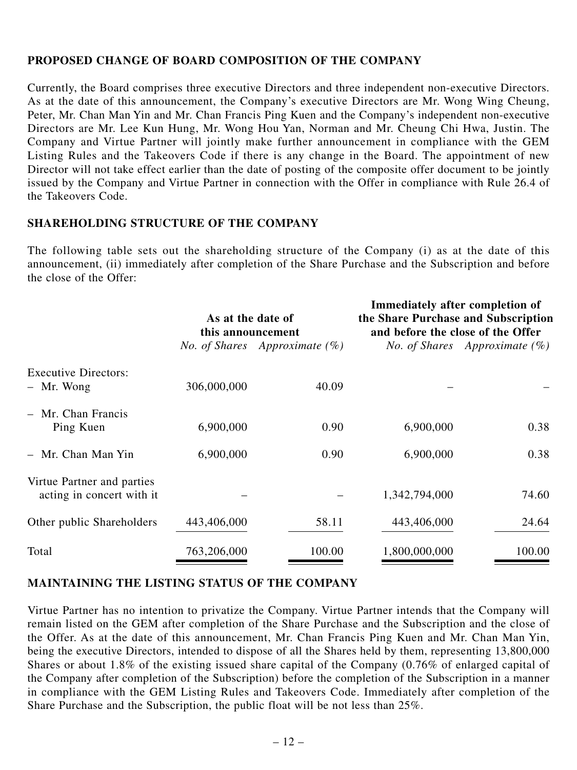### **PROPOSED CHANGE OF BOARD COMPOSITION OF THE COMPANY**

Currently, the Board comprises three executive Directors and three independent non-executive Directors. As at the date of this announcement, the Company's executive Directors are Mr. Wong Wing Cheung, Peter, Mr. Chan Man Yin and Mr. Chan Francis Ping Kuen and the Company's independent non-executive Directors are Mr. Lee Kun Hung, Mr. Wong Hou Yan, Norman and Mr. Cheung Chi Hwa, Justin. The Company and Virtue Partner will jointly make further announcement in compliance with the GEM Listing Rules and the Takeovers Code if there is any change in the Board. The appointment of new Director will not take effect earlier than the date of posting of the composite offer document to be jointly issued by the Company and Virtue Partner in connection with the Offer in compliance with Rule 26.4 of the Takeovers Code.

### **SHAREHOLDING STRUCTURE OF THE COMPANY**

The following table sets out the shareholding structure of the Company (i) as at the date of this announcement, (ii) immediately after completion of the Share Purchase and the Subscription and before the close of the Offer:

|                                                         | As at the date of<br>this announcement |                                         | <b>Immediately after completion of</b><br>the Share Purchase and Subscription<br>and before the close of the Offer |                                         |
|---------------------------------------------------------|----------------------------------------|-----------------------------------------|--------------------------------------------------------------------------------------------------------------------|-----------------------------------------|
|                                                         |                                        | <i>No. of Shares Approximate</i> $(\%)$ |                                                                                                                    | <i>No. of Shares Approximate</i> $(\%)$ |
| <b>Executive Directors:</b><br>- Mr. Wong               | 306,000,000                            | 40.09                                   |                                                                                                                    |                                         |
| $-$ Mr. Chan Francis<br>Ping Kuen                       | 6,900,000                              | 0.90                                    | 6,900,000                                                                                                          | 0.38                                    |
| - Mr. Chan Man Yin                                      | 6,900,000                              | 0.90                                    | 6,900,000                                                                                                          | 0.38                                    |
| Virtue Partner and parties<br>acting in concert with it |                                        |                                         | 1,342,794,000                                                                                                      | 74.60                                   |
| Other public Shareholders                               | 443,406,000                            | 58.11                                   | 443,406,000                                                                                                        | 24.64                                   |
| Total                                                   | 763,206,000                            | 100.00                                  | 1,800,000,000                                                                                                      | 100.00                                  |

## **MAINTAINING THE LISTING STATUS OF THE COMPANY**

Virtue Partner has no intention to privatize the Company. Virtue Partner intends that the Company will remain listed on the GEM after completion of the Share Purchase and the Subscription and the close of the Offer. As at the date of this announcement, Mr. Chan Francis Ping Kuen and Mr. Chan Man Yin, being the executive Directors, intended to dispose of all the Shares held by them, representing 13,800,000 Shares or about 1.8% of the existing issued share capital of the Company (0.76% of enlarged capital of the Company after completion of the Subscription) before the completion of the Subscription in a manner in compliance with the GEM Listing Rules and Takeovers Code. Immediately after completion of the Share Purchase and the Subscription, the public float will be not less than 25%.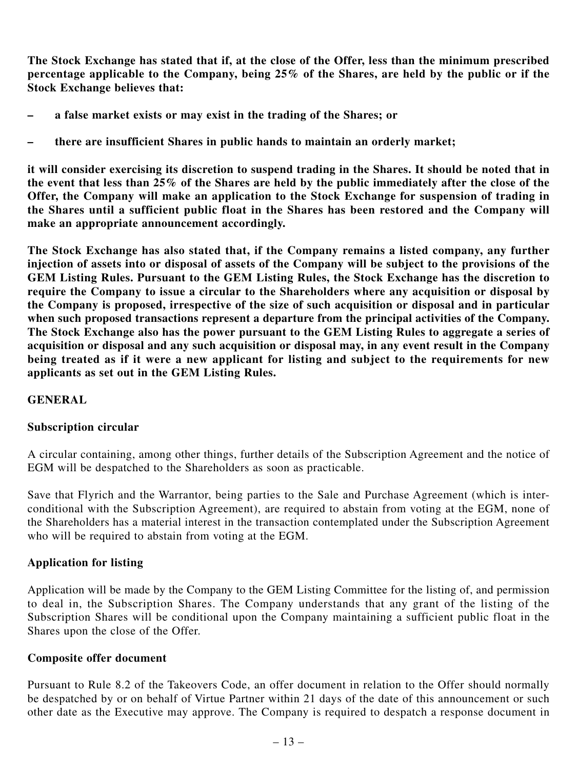**The Stock Exchange has stated that if, at the close of the Offer, less than the minimum prescribed percentage applicable to the Company, being 25% of the Shares, are held by the public or if the Stock Exchange believes that:**

- **a false market exists or may exist in the trading of the Shares; or**
- **there are insufficient Shares in public hands to maintain an orderly market;**

**it will consider exercising its discretion to suspend trading in the Shares. It should be noted that in the event that less than 25% of the Shares are held by the public immediately after the close of the Offer, the Company will make an application to the Stock Exchange for suspension of trading in the Shares until a sufficient public float in the Shares has been restored and the Company will make an appropriate announcement accordingly.**

**The Stock Exchange has also stated that, if the Company remains a listed company, any further injection of assets into or disposal of assets of the Company will be subject to the provisions of the GEM Listing Rules. Pursuant to the GEM Listing Rules, the Stock Exchange has the discretion to require the Company to issue a circular to the Shareholders where any acquisition or disposal by the Company is proposed, irrespective of the size of such acquisition or disposal and in particular** when such proposed transactions represent a departure from the principal activities of the Company. **The Stock Exchange also has the power pursuant to the GEM Listing Rules to aggregate a series of acquisition or disposal and any such acquisition or disposal may, in any event result in the Company being treated as if it were a new applicant for listing and subject to the requirements for new applicants as set out in the GEM Listing Rules.**

### **GENERAL**

### **Subscription circular**

A circular containing, among other things, further details of the Subscription Agreement and the notice of EGM will be despatched to the Shareholders as soon as practicable.

Save that Flyrich and the Warrantor, being parties to the Sale and Purchase Agreement (which is interconditional with the Subscription Agreement), are required to abstain from voting at the EGM, none of the Shareholders has a material interest in the transaction contemplated under the Subscription Agreement who will be required to abstain from voting at the EGM.

### **Application for listing**

Application will be made by the Company to the GEM Listing Committee for the listing of, and permission to deal in, the Subscription Shares. The Company understands that any grant of the listing of the Subscription Shares will be conditional upon the Company maintaining a sufficient public float in the Shares upon the close of the Offer.

### **Composite offer document**

Pursuant to Rule 8.2 of the Takeovers Code, an offer document in relation to the Offer should normally be despatched by or on behalf of Virtue Partner within 21 days of the date of this announcement or such other date as the Executive may approve. The Company is required to despatch a response document in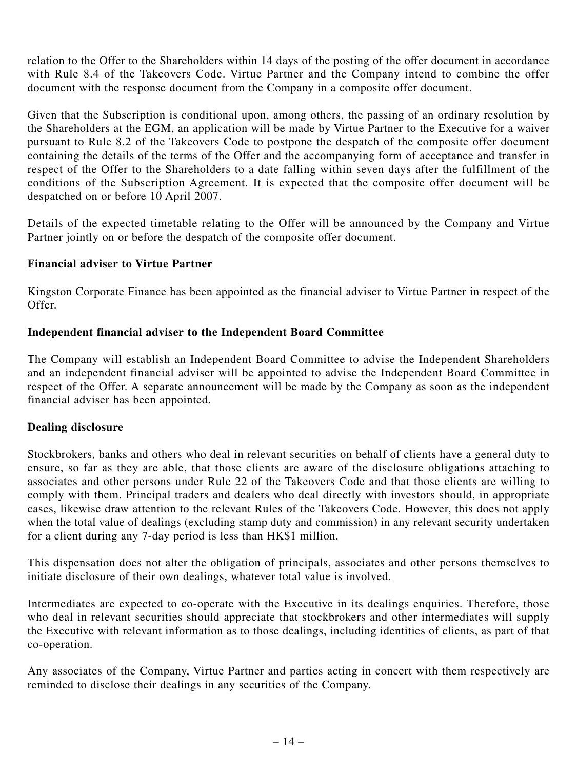relation to the Offer to the Shareholders within 14 days of the posting of the offer document in accordance with Rule 8.4 of the Takeovers Code. Virtue Partner and the Company intend to combine the offer document with the response document from the Company in a composite offer document.

Given that the Subscription is conditional upon, among others, the passing of an ordinary resolution by the Shareholders at the EGM, an application will be made by Virtue Partner to the Executive for a waiver pursuant to Rule 8.2 of the Takeovers Code to postpone the despatch of the composite offer document containing the details of the terms of the Offer and the accompanying form of acceptance and transfer in respect of the Offer to the Shareholders to a date falling within seven days after the fulfillment of the conditions of the Subscription Agreement. It is expected that the composite offer document will be despatched on or before 10 April 2007.

Details of the expected timetable relating to the Offer will be announced by the Company and Virtue Partner jointly on or before the despatch of the composite offer document.

### **Financial adviser to Virtue Partner**

Kingston Corporate Finance has been appointed as the financial adviser to Virtue Partner in respect of the Offer.

### **Independent financial adviser to the Independent Board Committee**

The Company will establish an Independent Board Committee to advise the Independent Shareholders and an independent financial adviser will be appointed to advise the Independent Board Committee in respect of the Offer. A separate announcement will be made by the Company as soon as the independent financial adviser has been appointed.

### **Dealing disclosure**

Stockbrokers, banks and others who deal in relevant securities on behalf of clients have a general duty to ensure, so far as they are able, that those clients are aware of the disclosure obligations attaching to associates and other persons under Rule 22 of the Takeovers Code and that those clients are willing to comply with them. Principal traders and dealers who deal directly with investors should, in appropriate cases, likewise draw attention to the relevant Rules of the Takeovers Code. However, this does not apply when the total value of dealings (excluding stamp duty and commission) in any relevant security undertaken for a client during any 7-day period is less than HK\$1 million.

This dispensation does not alter the obligation of principals, associates and other persons themselves to initiate disclosure of their own dealings, whatever total value is involved.

Intermediates are expected to co-operate with the Executive in its dealings enquiries. Therefore, those who deal in relevant securities should appreciate that stockbrokers and other intermediates will supply the Executive with relevant information as to those dealings, including identities of clients, as part of that co-operation.

Any associates of the Company, Virtue Partner and parties acting in concert with them respectively are reminded to disclose their dealings in any securities of the Company.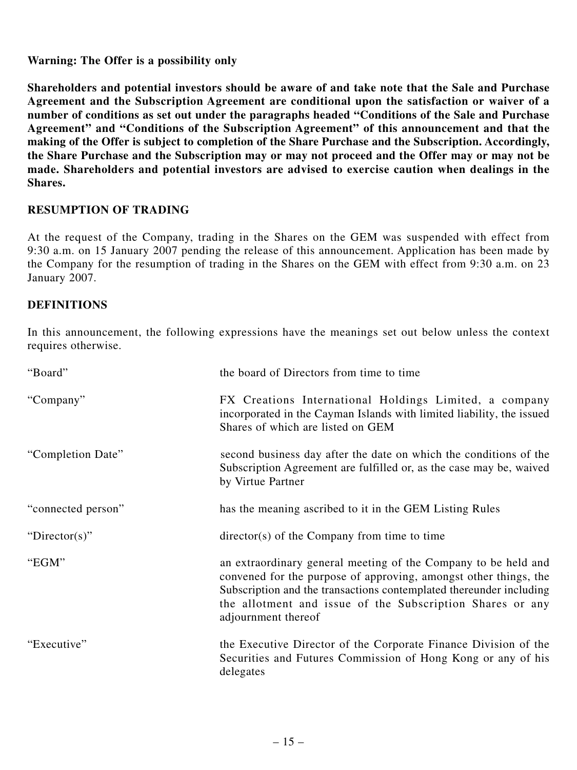**Warning: The Offer is a possibility only**

**Shareholders and potential investors should be aware of and take note that the Sale and Purchase Agreement and the Subscription Agreement are conditional upon the satisfaction or waiver of a number of conditions as set out under the paragraphs headed "Conditions of the Sale and Purchase Agreement" and "Conditions of the Subscription Agreement" of this announcement and that the making of the Offer is subject to completion of the Share Purchase and the Subscription. Accordingly, the Share Purchase and the Subscription may or may not proceed and the Offer may or may not be made. Shareholders and potential investors are advised to exercise caution when dealings in the Shares.**

### **RESUMPTION OF TRADING**

At the request of the Company, trading in the Shares on the GEM was suspended with effect from 9:30 a.m. on 15 January 2007 pending the release of this announcement. Application has been made by the Company for the resumption of trading in the Shares on the GEM with effect from 9:30 a.m. on 23 January 2007.

### **DEFINITIONS**

In this announcement, the following expressions have the meanings set out below unless the context requires otherwise.

| "Board"            | the board of Directors from time to time                                                                                                                                                                                                                                                      |
|--------------------|-----------------------------------------------------------------------------------------------------------------------------------------------------------------------------------------------------------------------------------------------------------------------------------------------|
| "Company"          | FX Creations International Holdings Limited, a company<br>incorporated in the Cayman Islands with limited liability, the issued<br>Shares of which are listed on GEM                                                                                                                          |
| "Completion Date"  | second business day after the date on which the conditions of the<br>Subscription Agreement are fulfilled or, as the case may be, waived<br>by Virtue Partner                                                                                                                                 |
| "connected person" | has the meaning ascribed to it in the GEM Listing Rules                                                                                                                                                                                                                                       |
| "Director(s)"      | $\text{directory}(s)$ of the Company from time to time                                                                                                                                                                                                                                        |
| "EGM"              | an extraordinary general meeting of the Company to be held and<br>convened for the purpose of approving, amongst other things, the<br>Subscription and the transactions contemplated thereunder including<br>the allotment and issue of the Subscription Shares or any<br>adjournment thereof |
| "Executive"        | the Executive Director of the Corporate Finance Division of the<br>Securities and Futures Commission of Hong Kong or any of his<br>delegates                                                                                                                                                  |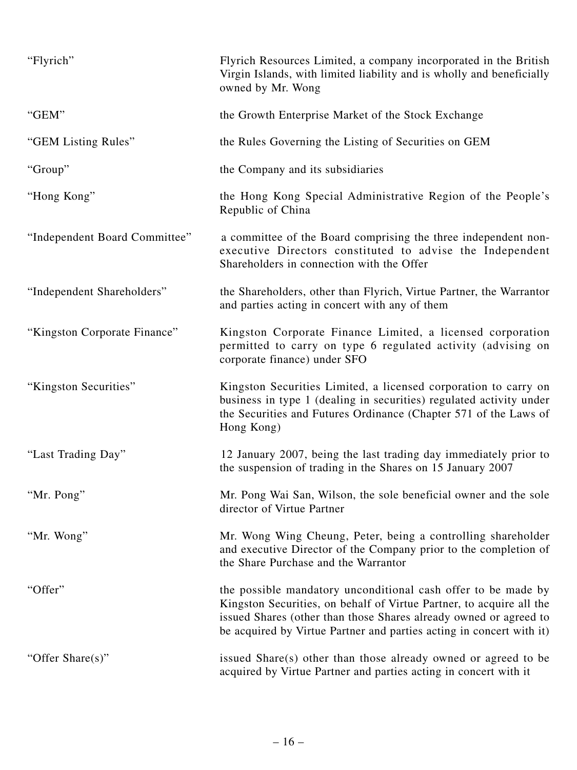| "Flyrich"                     | Flyrich Resources Limited, a company incorporated in the British<br>Virgin Islands, with limited liability and is wholly and beneficially<br>owned by Mr. Wong                                                                                                                     |
|-------------------------------|------------------------------------------------------------------------------------------------------------------------------------------------------------------------------------------------------------------------------------------------------------------------------------|
| "GEM"                         | the Growth Enterprise Market of the Stock Exchange                                                                                                                                                                                                                                 |
| "GEM Listing Rules"           | the Rules Governing the Listing of Securities on GEM                                                                                                                                                                                                                               |
| "Group"                       | the Company and its subsidiaries                                                                                                                                                                                                                                                   |
| "Hong Kong"                   | the Hong Kong Special Administrative Region of the People's<br>Republic of China                                                                                                                                                                                                   |
| "Independent Board Committee" | a committee of the Board comprising the three independent non-<br>executive Directors constituted to advise the Independent<br>Shareholders in connection with the Offer                                                                                                           |
| "Independent Shareholders"    | the Shareholders, other than Flyrich, Virtue Partner, the Warrantor<br>and parties acting in concert with any of them                                                                                                                                                              |
| "Kingston Corporate Finance"  | Kingston Corporate Finance Limited, a licensed corporation<br>permitted to carry on type 6 regulated activity (advising on<br>corporate finance) under SFO                                                                                                                         |
| "Kingston Securities"         | Kingston Securities Limited, a licensed corporation to carry on<br>business in type 1 (dealing in securities) regulated activity under<br>the Securities and Futures Ordinance (Chapter 571 of the Laws of<br>Hong Kong)                                                           |
| "Last Trading Day"            | 12 January 2007, being the last trading day immediately prior to<br>the suspension of trading in the Shares on 15 January 2007                                                                                                                                                     |
| "Mr. Pong"                    | Mr. Pong Wai San, Wilson, the sole beneficial owner and the sole<br>director of Virtue Partner                                                                                                                                                                                     |
| "Mr. Wong"                    | Mr. Wong Wing Cheung, Peter, being a controlling shareholder<br>and executive Director of the Company prior to the completion of<br>the Share Purchase and the Warrantor                                                                                                           |
| "Offer"                       | the possible mandatory unconditional cash offer to be made by<br>Kingston Securities, on behalf of Virtue Partner, to acquire all the<br>issued Shares (other than those Shares already owned or agreed to<br>be acquired by Virtue Partner and parties acting in concert with it) |
| "Offer Share(s)"              | issued Share(s) other than those already owned or agreed to be<br>acquired by Virtue Partner and parties acting in concert with it                                                                                                                                                 |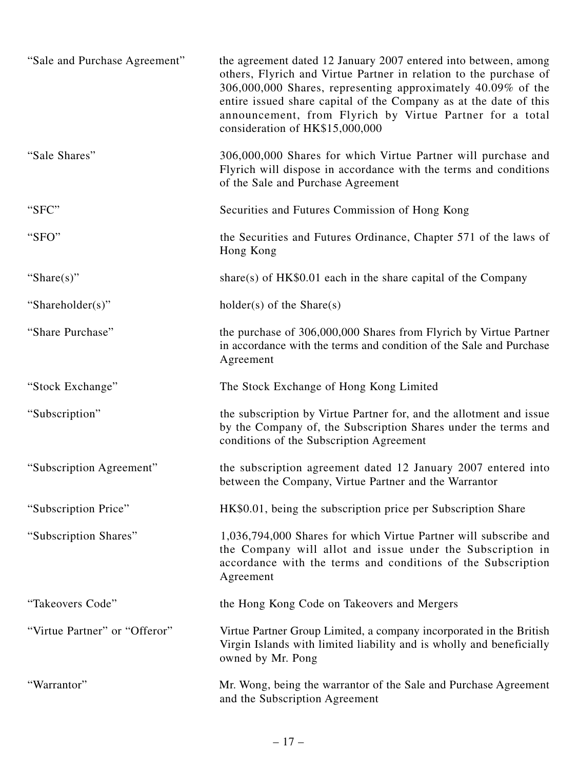| "Sale and Purchase Agreement" | the agreement dated 12 January 2007 entered into between, among<br>others, Flyrich and Virtue Partner in relation to the purchase of<br>306,000,000 Shares, representing approximately 40.09% of the<br>entire issued share capital of the Company as at the date of this<br>announcement, from Flyrich by Virtue Partner for a total<br>consideration of HK\$15,000,000 |
|-------------------------------|--------------------------------------------------------------------------------------------------------------------------------------------------------------------------------------------------------------------------------------------------------------------------------------------------------------------------------------------------------------------------|
| "Sale Shares"                 | 306,000,000 Shares for which Virtue Partner will purchase and<br>Flyrich will dispose in accordance with the terms and conditions<br>of the Sale and Purchase Agreement                                                                                                                                                                                                  |
| "SFC"                         | Securities and Futures Commission of Hong Kong                                                                                                                                                                                                                                                                                                                           |
| "SFO"                         | the Securities and Futures Ordinance, Chapter 571 of the laws of<br>Hong Kong                                                                                                                                                                                                                                                                                            |
| "Share $(s)$ "                | share(s) of $HK\$0.01$ each in the share capital of the Company                                                                                                                                                                                                                                                                                                          |
| "Shareholder(s)"              | $holder(s)$ of the Share(s)                                                                                                                                                                                                                                                                                                                                              |
| "Share Purchase"              | the purchase of 306,000,000 Shares from Flyrich by Virtue Partner<br>in accordance with the terms and condition of the Sale and Purchase<br>Agreement                                                                                                                                                                                                                    |
| "Stock Exchange"              | The Stock Exchange of Hong Kong Limited                                                                                                                                                                                                                                                                                                                                  |
| "Subscription"                | the subscription by Virtue Partner for, and the allotment and issue<br>by the Company of, the Subscription Shares under the terms and<br>conditions of the Subscription Agreement                                                                                                                                                                                        |
| "Subscription Agreement"      | the subscription agreement dated 12 January 2007 entered into<br>between the Company, Virtue Partner and the Warrantor                                                                                                                                                                                                                                                   |
| "Subscription Price"          | HK\$0.01, being the subscription price per Subscription Share                                                                                                                                                                                                                                                                                                            |
| "Subscription Shares"         | 1,036,794,000 Shares for which Virtue Partner will subscribe and<br>the Company will allot and issue under the Subscription in<br>accordance with the terms and conditions of the Subscription<br>Agreement                                                                                                                                                              |
| "Takeovers Code"              | the Hong Kong Code on Takeovers and Mergers                                                                                                                                                                                                                                                                                                                              |
| "Virtue Partner" or "Offeror" | Virtue Partner Group Limited, a company incorporated in the British<br>Virgin Islands with limited liability and is wholly and beneficially<br>owned by Mr. Pong                                                                                                                                                                                                         |
| "Warrantor"                   | Mr. Wong, being the warrantor of the Sale and Purchase Agreement<br>and the Subscription Agreement                                                                                                                                                                                                                                                                       |